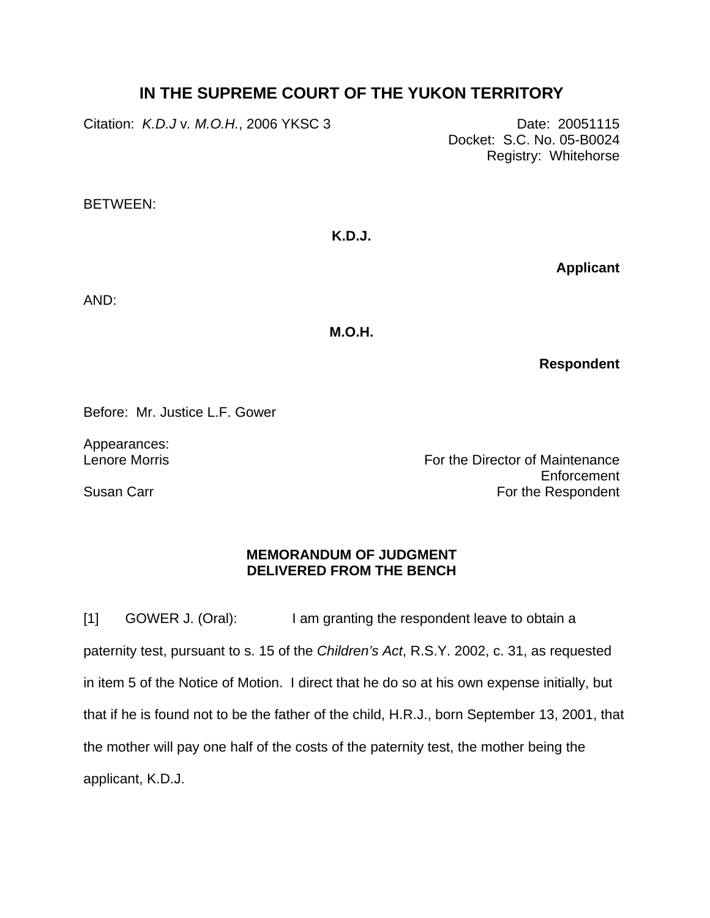## **IN THE SUPREME COURT OF THE YUKON TERRITORY**

Citation: *K.D.J* v*. M.O.H.*, 2006 YKSC 3 Date: 20051115

Docket: S.C. No. 05-B0024 Registry: Whitehorse

BETWEEN:

**K.D.J.** 

**Applicant**

AND:

**M.O.H.** 

**Respondent**

Before: Mr. Justice L.F. Gower

Appearances: Lenore Morris

Susan Carr

For the Director of Maintenance Enforcement For the Respondent

## **MEMORANDUM OF JUDGMENT DELIVERED FROM THE BENCH**

[1] GOWER J. (Oral): I am granting the respondent leave to obtain a paternity test, pursuant to s. 15 of the *Children's Act*, R.S.Y. 2002, c. 31, as requested in item 5 of the Notice of Motion. I direct that he do so at his own expense initially, but that if he is found not to be the father of the child, H.R.J., born September 13, 2001, that the mother will pay one half of the costs of the paternity test, the mother being the applicant, K.D.J.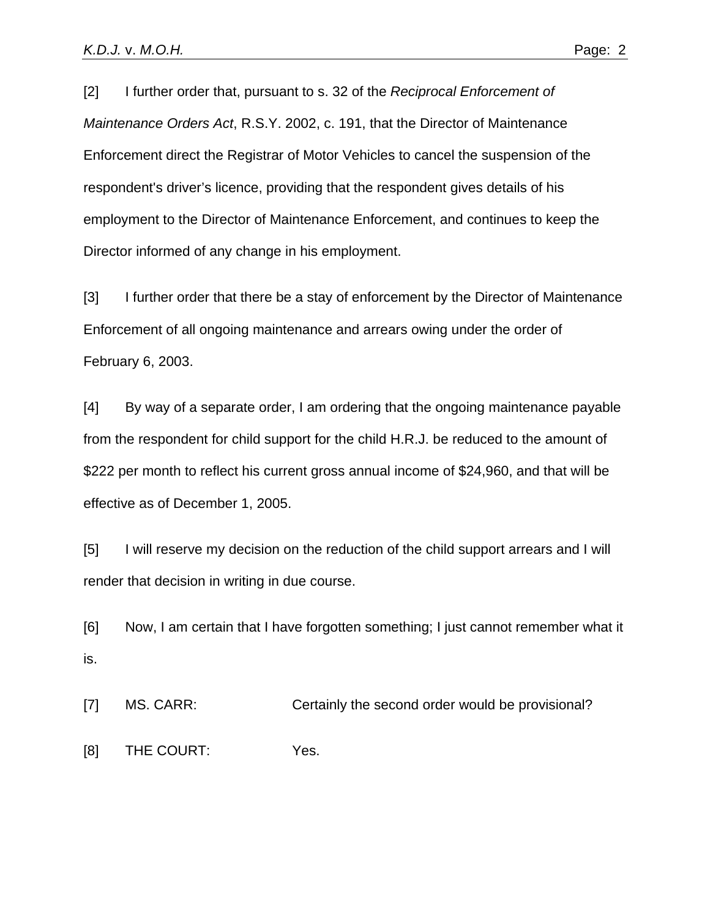[2] I further order that, pursuant to s. 32 of the *Reciprocal Enforcement of Maintenance Orders Act*, R.S.Y. 2002, c. 191, that the Director of Maintenance Enforcement direct the Registrar of Motor Vehicles to cancel the suspension of the respondent's driver's licence, providing that the respondent gives details of his employment to the Director of Maintenance Enforcement, and continues to keep the Director informed of any change in his employment.

[3] I further order that there be a stay of enforcement by the Director of Maintenance Enforcement of all ongoing maintenance and arrears owing under the order of February 6, 2003.

[4] By way of a separate order, I am ordering that the ongoing maintenance payable from the respondent for child support for the child H.R.J. be reduced to the amount of \$222 per month to reflect his current gross annual income of \$24,960, and that will be effective as of December 1, 2005.

[5] I will reserve my decision on the reduction of the child support arrears and I will render that decision in writing in due course.

[6] Now, I am certain that I have forgotten something; I just cannot remember what it is.

[7] MS. CARR: Certainly the second order would be provisional?

[8] THE COURT: Yes.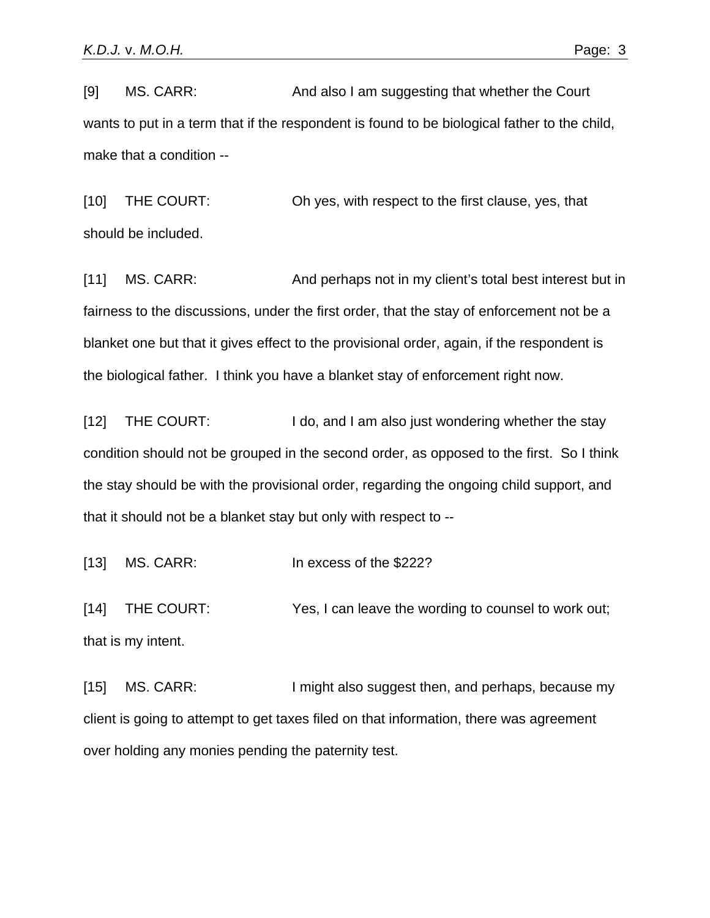[9] MS. CARR: And also I am suggesting that whether the Court wants to put in a term that if the respondent is found to be biological father to the child, make that a condition --

[10] THE COURT: Oh yes, with respect to the first clause, yes, that should be included.

[11] MS. CARR: And perhaps not in my client's total best interest but in fairness to the discussions, under the first order, that the stay of enforcement not be a blanket one but that it gives effect to the provisional order, again, if the respondent is the biological father. I think you have a blanket stay of enforcement right now.

[12] THE COURT: I do, and I am also just wondering whether the stay condition should not be grouped in the second order, as opposed to the first. So I think the stay should be with the provisional order, regarding the ongoing child support, and that it should not be a blanket stay but only with respect to --

[13] MS. CARR: In excess of the \$222?

[14] THE COURT: Yes, I can leave the wording to counsel to work out; that is my intent.

[15] MS. CARR: I might also suggest then, and perhaps, because my client is going to attempt to get taxes filed on that information, there was agreement over holding any monies pending the paternity test.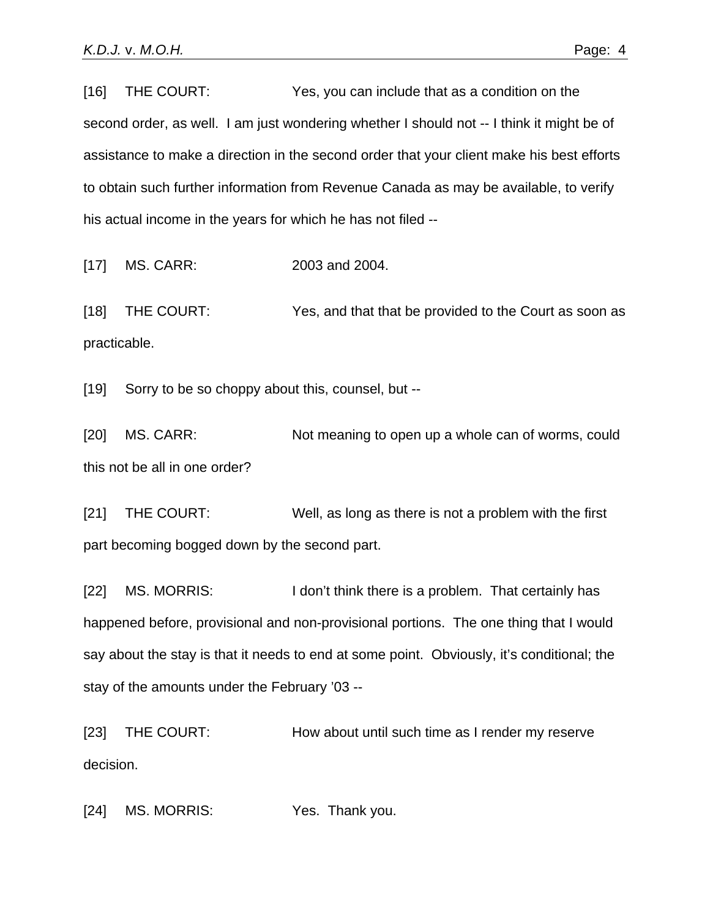[16] THE COURT: Yes, you can include that as a condition on the second order, as well. I am just wondering whether I should not -- I think it might be of assistance to make a direction in the second order that your client make his best efforts to obtain such further information from Revenue Canada as may be available, to verify his actual income in the years for which he has not filed --

[17] MS. CARR: 2003 and 2004.

[18] THE COURT: Yes, and that that be provided to the Court as soon as practicable.

[19] Sorry to be so choppy about this, counsel, but --

[20] MS. CARR: Not meaning to open up a whole can of worms, could this not be all in one order?

[21] THE COURT: Well, as long as there is not a problem with the first part becoming bogged down by the second part.

[22] MS. MORRIS: I don't think there is a problem. That certainly has happened before, provisional and non-provisional portions. The one thing that I would say about the stay is that it needs to end at some point. Obviously, it's conditional; the stay of the amounts under the February '03 --

[23] THE COURT: How about until such time as I render my reserve decision.

[24] MS. MORRIS: Yes. Thank you.